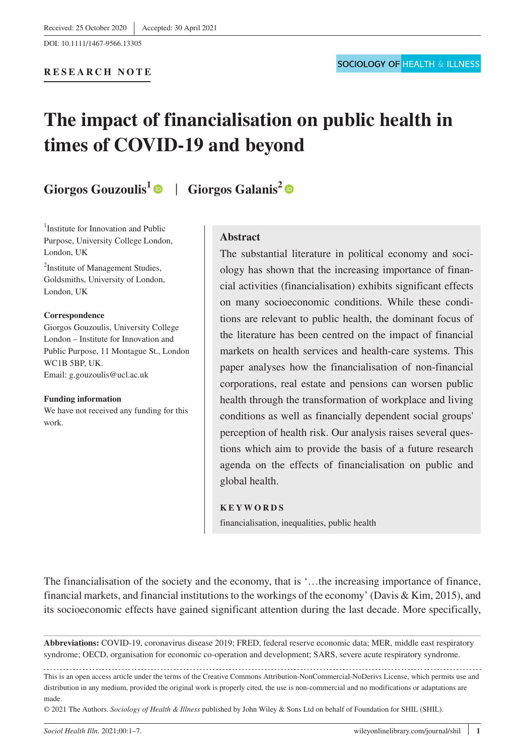# **The impact of financialisation on public health in times of COVID-19 and beyond**

# **Giorgos Gouzoulis<sup>1</sup> | Giorgos Galanis<sup>2</sup> | ©**

<sup>1</sup>Institute for Innovation and Public Purpose, University College London, London, UK

<sup>2</sup>Institute of Management Studies, Goldsmiths, University of London, London, UK

#### **Correspondence**

Giorgos Gouzoulis, University College London – Institute for Innovation and Public Purpose, 11 Montague St., London WC1B 5BP, UK. Email: [g.gouzoulis@ucl.ac.uk](mailto:g.gouzoulis@ucl.ac.uk)

#### **Funding information**

We have not received any funding for this work.

# **Abstract**

The substantial literature in political economy and sociology has shown that the increasing importance of financial activities (financialisation) exhibits significant effects on many socioeconomic conditions. While these conditions are relevant to public health, the dominant focus of the literature has been centred on the impact of financial markets on health services and health-care systems. This paper analyses how the financialisation of non-financial corporations, real estate and pensions can worsen public health through the transformation of workplace and living conditions as well as financially dependent social groups' perception of health risk. Our analysis raises several questions which aim to provide the basis of a future research agenda on the effects of financialisation on public and global health.

### **KEYWORDS**

financialisation, inequalities, public health

The financialisation of the society and the economy, that is '…the increasing importance of finance, financial markets, and financial institutions to the workings of the economy' (Davis & Kim, 2015), and its socioeconomic effects have gained significant attention during the last decade. More specifically,

**Abbreviations:** COVID-19, coronavirus disease 2019; FRED, federal reserve economic data; MER, middle east respiratory syndrome; OECD, organisation for economic co-operation and development; SARS, severe acute respiratory syndrome.

This is an open access article under the terms of the [Creative Commons Attribution-NonCommercial-NoDerivs](http://creativecommons.org/licenses/by-nc-nd/4.0/) License, which permits use and distribution in any medium, provided the original work is properly cited, the use is non-commercial and no modifications or adaptations are made.

© 2021 The Authors. *Sociology of Health & Illness* published by John Wiley & Sons Ltd on behalf of Foundation for SHIL (SHIL).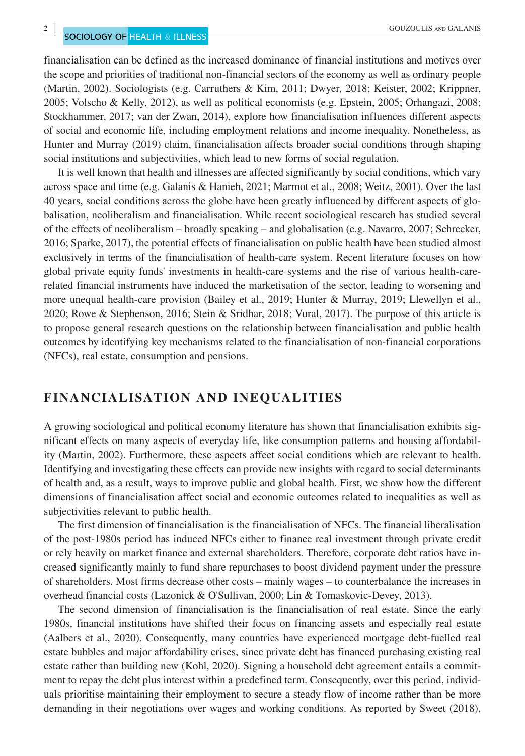financialisation can be defined as the increased dominance of financial institutions and motives over the scope and priorities of traditional non-financial sectors of the economy as well as ordinary people (Martin, 2002). Sociologists (e.g. Carruthers & Kim, 2011; Dwyer, 2018; Keister, 2002; Krippner, 2005; Volscho & Kelly, 2012), as well as political economists (e.g. Epstein, 2005; Orhangazi, 2008; Stockhammer, 2017; van der Zwan, 2014), explore how financialisation influences different aspects of social and economic life, including employment relations and income inequality. Nonetheless, as Hunter and Murray (2019) claim, financialisation affects broader social conditions through shaping social institutions and subjectivities, which lead to new forms of social regulation.

It is well known that health and illnesses are affected significantly by social conditions, which vary across space and time (e.g. Galanis & Hanieh, 2021; Marmot et al., 2008; Weitz, 2001). Over the last 40 years, social conditions across the globe have been greatly influenced by different aspects of globalisation, neoliberalism and financialisation. While recent sociological research has studied several of the effects of neoliberalism – broadly speaking – and globalisation (e.g. Navarro, 2007; Schrecker, 2016; Sparke, 2017), the potential effects of financialisation on public health have been studied almost exclusively in terms of the financialisation of health-care system. Recent literature focuses on how global private equity funds' investments in health-care systems and the rise of various health-carerelated financial instruments have induced the marketisation of the sector, leading to worsening and more unequal health-care provision (Bailey et al., 2019; Hunter & Murray, 2019; Llewellyn et al., 2020; Rowe & Stephenson, 2016; Stein & Sridhar, 2018; Vural, 2017). The purpose of this article is to propose general research questions on the relationship between financialisation and public health outcomes by identifying key mechanisms related to the financialisation of non-financial corporations (NFCs), real estate, consumption and pensions.

# **FINANCIALISATION AND INEQUALITIES**

A growing sociological and political economy literature has shown that financialisation exhibits significant effects on many aspects of everyday life, like consumption patterns and housing affordability (Martin, 2002). Furthermore, these aspects affect social conditions which are relevant to health. Identifying and investigating these effects can provide new insights with regard to social determinants of health and, as a result, ways to improve public and global health. First, we show how the different dimensions of financialisation affect social and economic outcomes related to inequalities as well as subjectivities relevant to public health.

The first dimension of financialisation is the financialisation of NFCs. The financial liberalisation of the post-1980s period has induced NFCs either to finance real investment through private credit or rely heavily on market finance and external shareholders. Therefore, corporate debt ratios have increased significantly mainly to fund share repurchases to boost dividend payment under the pressure of shareholders. Most firms decrease other costs – mainly wages – to counterbalance the increases in overhead financial costs (Lazonick & O'Sullivan, 2000; Lin & Tomaskovic-Devey, 2013).

The second dimension of financialisation is the financialisation of real estate. Since the early 1980s, financial institutions have shifted their focus on financing assets and especially real estate (Aalbers et al., 2020). Consequently, many countries have experienced mortgage debt-fuelled real estate bubbles and major affordability crises, since private debt has financed purchasing existing real estate rather than building new (Kohl, 2020). Signing a household debt agreement entails a commitment to repay the debt plus interest within a predefined term. Consequently, over this period, individuals prioritise maintaining their employment to secure a steady flow of income rather than be more demanding in their negotiations over wages and working conditions. As reported by Sweet (2018),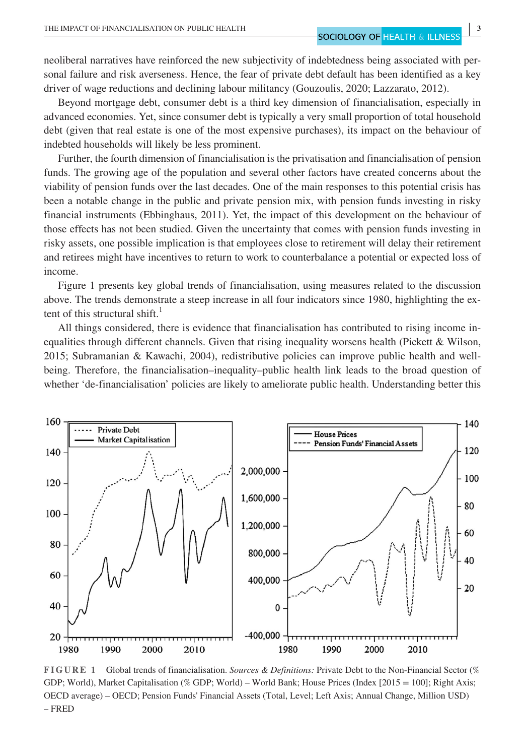neoliberal narratives have reinforced the new subjectivity of indebtedness being associated with personal failure and risk averseness. Hence, the fear of private debt default has been identified as a key driver of wage reductions and declining labour militancy (Gouzoulis, 2020; Lazzarato, 2012).

Beyond mortgage debt, consumer debt is a third key dimension of financialisation, especially in advanced economies. Yet, since consumer debt is typically a very small proportion of total household debt (given that real estate is one of the most expensive purchases), its impact on the behaviour of indebted households will likely be less prominent.

Further, the fourth dimension of financialisation is the privatisation and financialisation of pension funds. The growing age of the population and several other factors have created concerns about the viability of pension funds over the last decades. One of the main responses to this potential crisis has been a notable change in the public and private pension mix, with pension funds investing in risky financial instruments (Ebbinghaus, 2011). Yet, the impact of this development on the behaviour of those effects has not been studied. Given the uncertainty that comes with pension funds investing in risky assets, one possible implication is that employees close to retirement will delay their retirement and retirees might have incentives to return to work to counterbalance a potential or expected loss of income.

Figure 1 presents key global trends of financialisation, using measures related to the discussion above. The trends demonstrate a steep increase in all four indicators since 1980, highlighting the extent of this structural shift.<sup>1</sup>

All things considered, there is evidence that financialisation has contributed to rising income inequalities through different channels. Given that rising inequality worsens health (Pickett & Wilson, 2015; Subramanian & Kawachi, 2004), redistributive policies can improve public health and wellbeing. Therefore, the financialisation–inequality–public health link leads to the broad question of whether 'de-financialisation' policies are likely to ameliorate public health. Understanding better this



**FIGURE 1** Global trends of financialisation. *Sources & Definitions:* Private Debt to the Non-Financial Sector (% GDP; World), Market Capitalisation (% GDP; World) – World Bank; House Prices (Index [2015 = 100]; Right Axis; OECD average) – OECD; Pension Funds' Financial Assets (Total, Level; Left Axis; Annual Change, Million USD) – FRED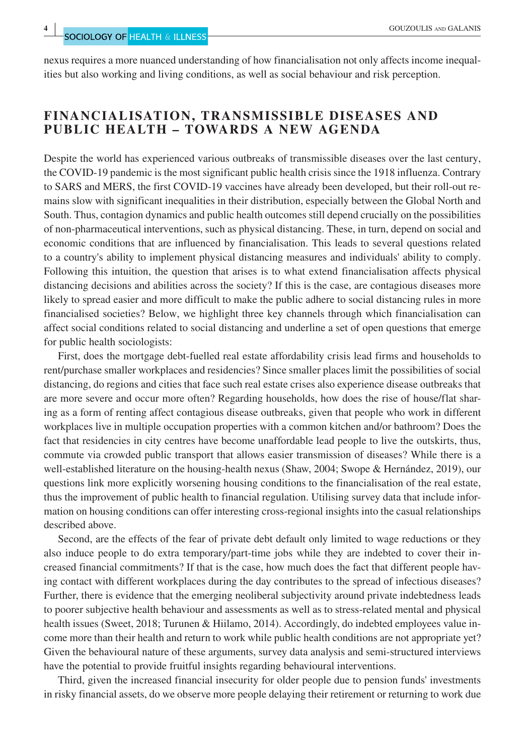nexus requires a more nuanced understanding of how financialisation not only affects income inequalities but also working and living conditions, as well as social behaviour and risk perception.

# **FINANCIALISATION, TRANSMISSIBLE DISEASES AND PUBLIC HEALTH – TOWARDS A NEW AGENDA**

Despite the world has experienced various outbreaks of transmissible diseases over the last century, the COVID-19 pandemic is the most significant public health crisis since the 1918 influenza. Contrary to SARS and MERS, the first COVID-19 vaccines have already been developed, but their roll-out remains slow with significant inequalities in their distribution, especially between the Global North and South. Thus, contagion dynamics and public health outcomes still depend crucially on the possibilities of non-pharmaceutical interventions, such as physical distancing. These, in turn, depend on social and economic conditions that are influenced by financialisation. This leads to several questions related to a country's ability to implement physical distancing measures and individuals' ability to comply. Following this intuition, the question that arises is to what extend financialisation affects physical distancing decisions and abilities across the society? If this is the case, are contagious diseases more likely to spread easier and more difficult to make the public adhere to social distancing rules in more financialised societies? Below, we highlight three key channels through which financialisation can affect social conditions related to social distancing and underline a set of open questions that emerge for public health sociologists:

First, does the mortgage debt-fuelled real estate affordability crisis lead firms and households to rent/purchase smaller workplaces and residencies? Since smaller places limit the possibilities of social distancing, do regions and cities that face such real estate crises also experience disease outbreaks that are more severe and occur more often? Regarding households, how does the rise of house/flat sharing as a form of renting affect contagious disease outbreaks, given that people who work in different workplaces live in multiple occupation properties with a common kitchen and/or bathroom? Does the fact that residencies in city centres have become unaffordable lead people to live the outskirts, thus, commute via crowded public transport that allows easier transmission of diseases? While there is a well-established literature on the housing-health nexus (Shaw, 2004; Swope & Hernández, 2019), our questions link more explicitly worsening housing conditions to the financialisation of the real estate, thus the improvement of public health to financial regulation. Utilising survey data that include information on housing conditions can offer interesting cross-regional insights into the casual relationships described above.

Second, are the effects of the fear of private debt default only limited to wage reductions or they also induce people to do extra temporary/part-time jobs while they are indebted to cover their increased financial commitments? If that is the case, how much does the fact that different people having contact with different workplaces during the day contributes to the spread of infectious diseases? Further, there is evidence that the emerging neoliberal subjectivity around private indebtedness leads to poorer subjective health behaviour and assessments as well as to stress-related mental and physical health issues (Sweet, 2018; Turunen & Hiilamo, 2014). Accordingly, do indebted employees value income more than their health and return to work while public health conditions are not appropriate yet? Given the behavioural nature of these arguments, survey data analysis and semi-structured interviews have the potential to provide fruitful insights regarding behavioural interventions.

Third, given the increased financial insecurity for older people due to pension funds' investments in risky financial assets, do we observe more people delaying their retirement or returning to work due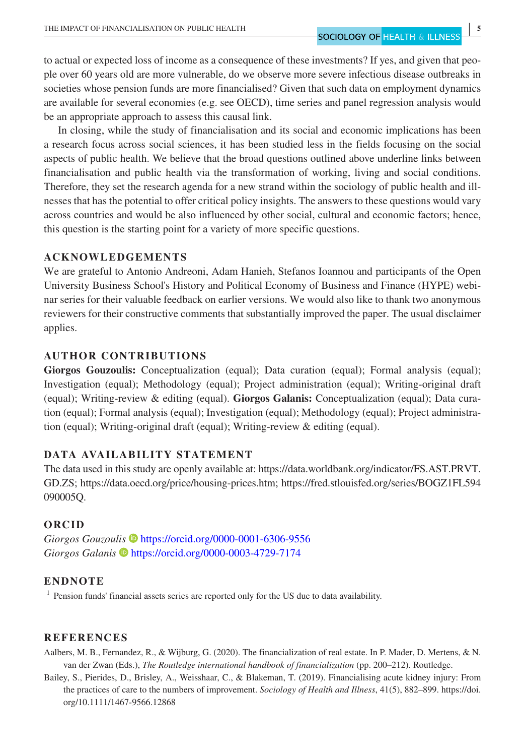to actual or expected loss of income as a consequence of these investments? If yes, and given that people over 60 years old are more vulnerable, do we observe more severe infectious disease outbreaks in societies whose pension funds are more financialised? Given that such data on employment dynamics are available for several economies (e.g. see OECD), time series and panel regression analysis would be an appropriate approach to assess this causal link.

In closing, while the study of financialisation and its social and economic implications has been a research focus across social sciences, it has been studied less in the fields focusing on the social aspects of public health. We believe that the broad questions outlined above underline links between financialisation and public health via the transformation of working, living and social conditions. Therefore, they set the research agenda for a new strand within the sociology of public health and illnesses that has the potential to offer critical policy insights. The answers to these questions would vary across countries and would be also influenced by other social, cultural and economic factors; hence, this question is the starting point for a variety of more specific questions.

# **ACKNOWLEDGEMENTS**

We are grateful to Antonio Andreoni, Adam Hanieh, Stefanos Ioannou and participants of the Open University Business School's History and Political Economy of Business and Finance (HYPE) webinar series for their valuable feedback on earlier versions. We would also like to thank two anonymous reviewers for their constructive comments that substantially improved the paper. The usual disclaimer applies.

# **AUTHOR CONTRIBUTIONS**

**Giorgos Gouzoulis:** Conceptualization (equal); Data curation (equal); Formal analysis (equal); Investigation (equal); Methodology (equal); Project administration (equal); Writing-original draft (equal); Writing-review & editing (equal). **Giorgos Galanis:** Conceptualization (equal); Data curation (equal); Formal analysis (equal); Investigation (equal); Methodology (equal); Project administration (equal); Writing-original draft (equal); Writing-review & editing (equal).

# **DATA AVAILABILITY STATEMENT**

The data used in this study are openly available at: [https://data.worldbank.org/indicator/FS.AST.PRVT.](https://data.worldbank.org/indicator/FS.AST.PRVT.GD.ZS) [GD.ZS;](https://data.worldbank.org/indicator/FS.AST.PRVT.GD.ZS) <https://data.oecd.org/price/housing-prices.htm>; [https://fred.stlouisfed.org/series/BOGZ1FL594](https://fred.stlouisfed.org/series/BOGZ1FL594090005Q) [090005Q](https://fred.stlouisfed.org/series/BOGZ1FL594090005Q).

# **ORCID**

Giorgos Gouzoulis **b** <https://orcid.org/0000-0001-6306-9556> *Giorgos Galanis* <https://orcid.org/0000-0003-4729-7174>

## **ENDNOTE**

<sup>1</sup> Pension funds' financial assets series are reported only for the US due to data availability.

# **REFERENCES**

- Aalbers, M. B., Fernandez, R., & Wijburg, G. (2020). The financialization of real estate. In P. Mader, D. Mertens, & N. van der Zwan (Eds.), *The Routledge international handbook of financialization* (pp. 200–212). Routledge.
- Bailey, S., Pierides, D., Brisley, A., Weisshaar, C., & Blakeman, T. (2019). Financialising acute kidney injury: From the practices of care to the numbers of improvement. *Sociology of Health and Illness*, 41(5), 882–899. [https://doi.](https://doi.org/10.1111/1467-9566.12868) [org/10.1111/1467-9566.12868](https://doi.org/10.1111/1467-9566.12868)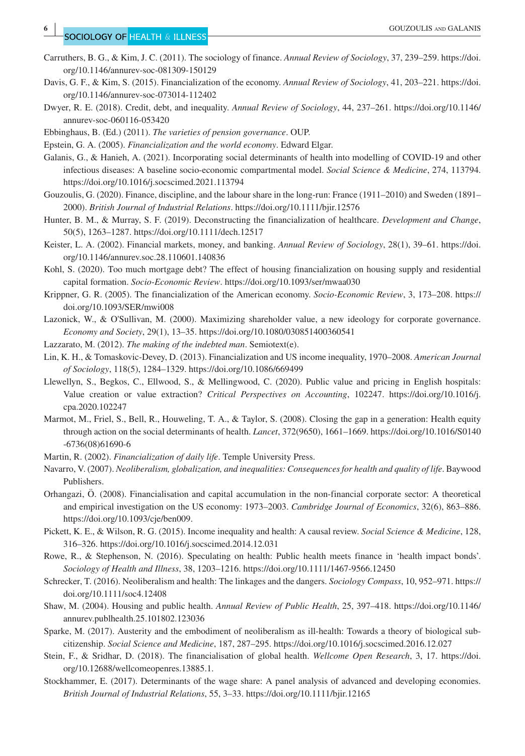- Carruthers, B. G., & Kim, J. C. (2011). The sociology of finance. *Annual Review of Sociology*, 37, 239–259. [https://doi.](https://doi.org/10.1146/annurev-soc-081309-150129) [org/10.1146/annurev-soc-081309-150129](https://doi.org/10.1146/annurev-soc-081309-150129)
- Davis, G. F., & Kim, S. (2015). Financialization of the economy. *Annual Review of Sociology*, 41, 203–221. [https://doi.](https://doi.org/10.1146/annurev-soc-073014-112402) [org/10.1146/annurev-soc-073014-112402](https://doi.org/10.1146/annurev-soc-073014-112402)
- Dwyer, R. E. (2018). Credit, debt, and inequality. *Annual Review of Sociology*, 44, 237–261. [https://doi.org/10.1146/](https://doi.org/10.1146/annurev-soc-060116-053420) [annurev-soc-060116-053420](https://doi.org/10.1146/annurev-soc-060116-053420)
- Ebbinghaus, B. (Ed.) (2011). *The varieties of pension governance*. OUP.

Epstein, G. A. (2005). *Financialization and the world economy*. Edward Elgar.

Galanis, G., & Hanieh, A. (2021). Incorporating social determinants of health into modelling of COVID-19 and other infectious diseases: A baseline socio-economic compartmental model. *Social Science & Medicine*, 274, 113794. <https://doi.org/10.1016/j.socscimed.2021.113794>

Gouzoulis, G. (2020). Finance, discipline, and the labour share in the long-run: France (1911–2010) and Sweden (1891– 2000). *British Journal of Industrial Relations*.<https://doi.org/10.1111/bjir.12576>

Hunter, B. M., & Murray, S. F. (2019). Deconstructing the financialization of healthcare. *Development and Change*, 50(5), 1263–1287. <https://doi.org/10.1111/dech.12517>

- Keister, L. A. (2002). Financial markets, money, and banking. *Annual Review of Sociology*, 28(1), 39–61. [https://doi.](https://doi.org/10.1146/annurev.soc.28.110601.140836) [org/10.1146/annurev.soc.28.110601.140836](https://doi.org/10.1146/annurev.soc.28.110601.140836)
- Kohl, S. (2020). Too much mortgage debt? The effect of housing financialization on housing supply and residential capital formation. *Socio-Economic Review*. <https://doi.org/10.1093/ser/mwaa030>
- Krippner, G. R. (2005). The financialization of the American economy. *Socio-Economic Review*, 3, 173–208. [https://](https://doi.org/10.1093/SER/mwi008) [doi.org/10.1093/SER/mwi008](https://doi.org/10.1093/SER/mwi008)
- Lazonick, W., & O'Sullivan, M. (2000). Maximizing shareholder value, a new ideology for corporate governance. *Economy and Society*, 29(1), 13–35. <https://doi.org/10.1080/030851400360541>
- Lazzarato, M. (2012). *The making of the indebted man*. Semiotext(e).
- Lin, K. H., & Tomaskovic-Devey, D. (2013). Financialization and US income inequality, 1970–2008. *American Journal of Sociology*, 118(5), 1284–1329.<https://doi.org/10.1086/669499>
- Llewellyn, S., Begkos, C., Ellwood, S., & Mellingwood, C. (2020). Public value and pricing in English hospitals: Value creation or value extraction? *Critical Perspectives on Accounting*, 102247. [https://doi.org/10.1016/j.](https://doi.org/10.1016/j.cpa.2020.102247) [cpa.2020.102247](https://doi.org/10.1016/j.cpa.2020.102247)
- Marmot, M., Friel, S., Bell, R., Houweling, T. A., & Taylor, S. (2008). Closing the gap in a generation: Health equity through action on the social determinants of health. *Lancet*, 372(9650), 1661–1669. [https://doi.org/10.1016/S0140](https://doi.org/10.1016/S0140-6736(08)61690-6) [-6736\(08\)61690-6](https://doi.org/10.1016/S0140-6736(08)61690-6)
- Martin, R. (2002). *Financialization of daily life*. Temple University Press.
- Navarro, V. (2007). *Neoliberalism, globalization, and inequalities: Consequences for health and quality of life*. Baywood Publishers.
- Orhangazi, Ö. (2008). Financialisation and capital accumulation in the non-financial corporate sector: A theoretical and empirical investigation on the US economy: 1973–2003. *Cambridge Journal of Economics*, 32(6), 863–886. [https://doi.org/10.1093/cje/ben009.](https://doi.org/10.1093/cje/ben009)
- Pickett, K. E., & Wilson, R. G. (2015). Income inequality and health: A causal review. *Social Science & Medicine*, 128, 316–326. <https://doi.org/10.1016/j.socscimed.2014.12.031>
- Rowe, R., & Stephenson, N. (2016). Speculating on health: Public health meets finance in 'health impact bonds'. *Sociology of Health and Illness*, 38, 1203–1216. <https://doi.org/10.1111/1467-9566.12450>
- Schrecker, T. (2016). Neoliberalism and health: The linkages and the dangers. *Sociology Compass*, 10, 952–971. [https://](https://doi.org/10.1111/soc4.12408) [doi.org/10.1111/soc4.12408](https://doi.org/10.1111/soc4.12408)
- Shaw, M. (2004). Housing and public health. *Annual Review of Public Health*, 25, 397–418. [https://doi.org/10.1146/](https://doi.org/10.1146/annurev.publhealth.25.101802.123036) [annurev.publhealth.25.101802.123036](https://doi.org/10.1146/annurev.publhealth.25.101802.123036)
- Sparke, M. (2017). Austerity and the embodiment of neoliberalism as ill-health: Towards a theory of biological subcitizenship. *Social Science and Medicine*, 187, 287–295. <https://doi.org/10.1016/j.socscimed.2016.12.027>
- Stein, F., & Sridhar, D. (2018). The financialisation of global health. *Wellcome Open Research*, 3, 17. [https://doi.](https://doi.org/10.12688/wellcomeopenres.13885.1) [org/10.12688/wellcomeopenres.13885.1](https://doi.org/10.12688/wellcomeopenres.13885.1).
- Stockhammer, E. (2017). Determinants of the wage share: A panel analysis of advanced and developing economies. *British Journal of Industrial Relations*, 55, 3–33.<https://doi.org/10.1111/bjir.12165>